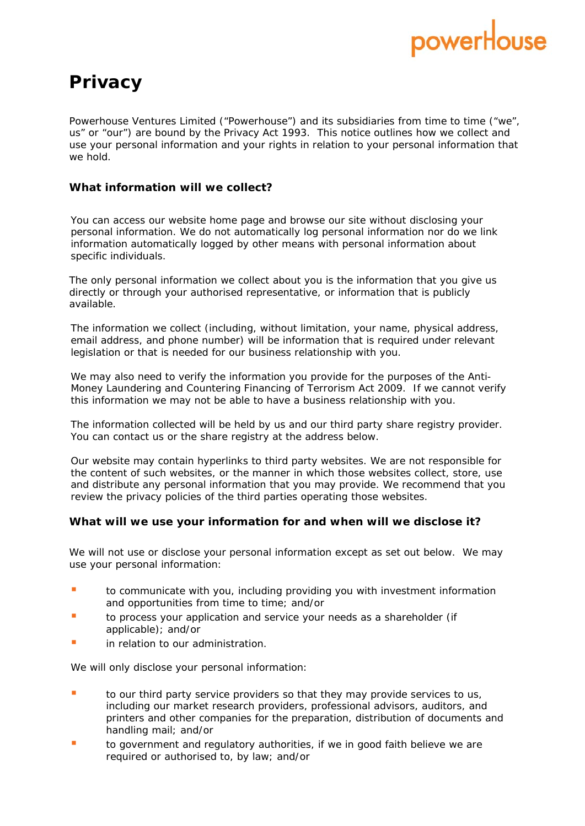# powerHo

# **Privacy**

Powerhouse Ventures Limited ("Powerhouse") and its subsidiaries from time to time ("we", us" or "our") are bound by the Privacy Act 1993. This notice outlines how we collect and use your personal information and your rights in relation to your personal information that we hold.

## **What information will we collect?**

You can access our website home page and browse our site without disclosing your personal information. We do not automatically log personal information nor do we link information automatically logged by other means with personal information about specific individuals.

The only personal information we collect about you is the information that you give us directly or through your authorised representative, or information that is publicly available.

The information we collect (including, without limitation, your name, physical address, email address, and phone number) will be information that is required under relevant legislation or that is needed for our business relationship with you.

We may also need to verify the information you provide for the purposes of the Anti-Money Laundering and Countering Financing of Terrorism Act 2009. If we cannot verify this information we may not be able to have a business relationship with you.

The information collected will be held by us and our third party share registry provider. You can contact us or the share registry at the address below.

Our website may contain hyperlinks to third party websites. We are not responsible for the content of such websites, or the manner in which those websites collect, store, use and distribute any personal information that you may provide. We recommend that you review the privacy policies of the third parties operating those websites.

### **What will we use your information for and when will we disclose it?**

We will not use or disclose your personal information except as set out below. We may use your personal information:

- **to communicate with you, including providing you with investment information** and opportunities from time to time; and/or
- **to process your application and service your needs as a shareholder (if** applicable); and/or
- in relation to our administration.

We will only disclose your personal information:

- **to our third party service providers so that they may provide services to us,** including our market research providers, professional advisors, auditors, and printers and other companies for the preparation, distribution of documents and handling mail; and/or
- to government and regulatory authorities, if we in good faith believe we are required or authorised to, by law; and/or